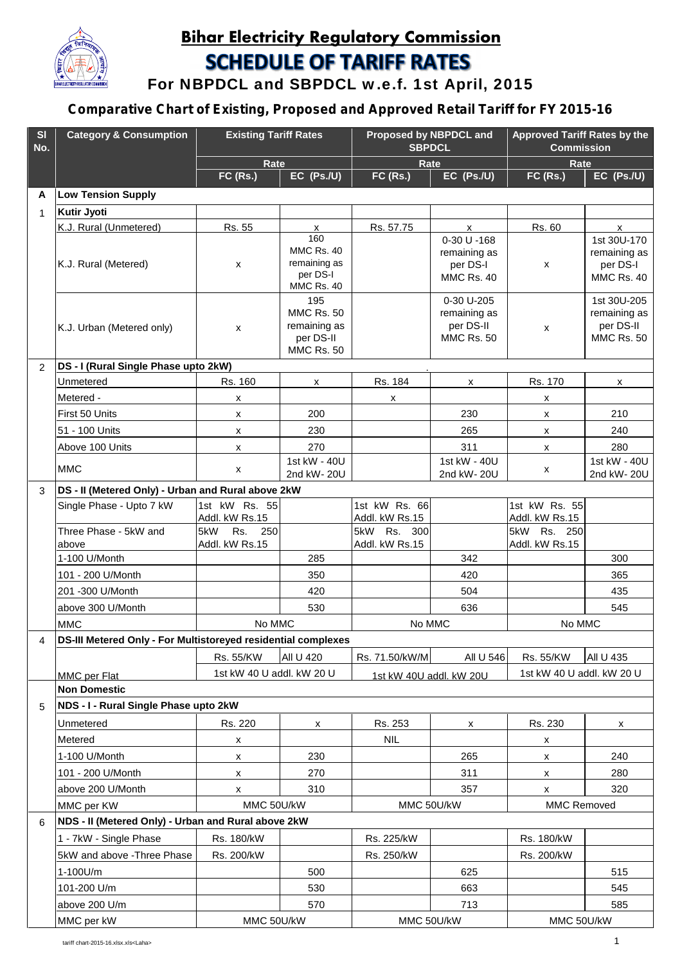

## **Bihar Electricity Regulatory Commission SCHEDULE OF TARIFF RATES**

**For NBPDCL and SBPDCL w.e.f. 1st April, 2015**

## **Comparative Chart of Existing, Proposed and Approved Retail Tariff for FY 2015-16**

| SI<br>No.    | <b>Category &amp; Consumption</b>                             | <b>Existing Tariff Rates</b>          |                                                                            | Proposed by NBPDCL and<br><b>SBPDCL</b> |                                                              | <b>Approved Tariff Rates by the</b><br><b>Commission</b> |                                                               |  |  |  |
|--------------|---------------------------------------------------------------|---------------------------------------|----------------------------------------------------------------------------|-----------------------------------------|--------------------------------------------------------------|----------------------------------------------------------|---------------------------------------------------------------|--|--|--|
|              |                                                               | Rate<br>EC (Ps./U)<br><b>FC (Rs.)</b> |                                                                            | Rate<br><b>FC (Rs.)</b><br>EC (Ps./U)   |                                                              | Rate<br>EC (Ps./U)<br><b>FC (Rs.)</b>                    |                                                               |  |  |  |
| A            | <b>Low Tension Supply</b>                                     |                                       |                                                                            |                                         |                                                              |                                                          |                                                               |  |  |  |
|              | Kutir Jyoti                                                   |                                       |                                                                            |                                         |                                                              |                                                          |                                                               |  |  |  |
| $\mathbf{1}$ | K.J. Rural (Unmetered)                                        | Rs. 55                                | X                                                                          | Rs. 57.75                               | $\mathsf{x}$                                                 | Rs. 60                                                   | $\mathsf{x}$                                                  |  |  |  |
|              |                                                               |                                       | 160                                                                        |                                         | 0-30 U -168                                                  |                                                          | 1st 30U-170                                                   |  |  |  |
|              | K.J. Rural (Metered)                                          | X                                     | MMC Rs. 40<br>remaining as<br>per DS-I<br>MMC Rs. 40                       |                                         | remaining as<br>per DS-I<br><b>MMC Rs. 40</b>                | X                                                        | remaining as<br>per DS-I<br>MMC Rs. 40                        |  |  |  |
|              | K.J. Urban (Metered only)                                     | X                                     | 195<br><b>MMC Rs. 50</b><br>remaining as<br>per DS-II<br><b>MMC Rs. 50</b> |                                         | 0-30 U-205<br>remaining as<br>per DS-II<br><b>MMC Rs. 50</b> | X                                                        | 1st 30U-205<br>remaining as<br>per DS-II<br><b>MMC Rs. 50</b> |  |  |  |
| 2            | DS - I (Rural Single Phase upto 2kW)                          |                                       |                                                                            |                                         |                                                              |                                                          |                                                               |  |  |  |
|              | Unmetered                                                     | Rs. 160                               | x                                                                          | Rs. 184                                 | x                                                            | Rs. 170                                                  | x                                                             |  |  |  |
|              | Metered -                                                     | x                                     |                                                                            | x                                       |                                                              | X                                                        |                                                               |  |  |  |
|              | First 50 Units                                                | x                                     | 200                                                                        |                                         | 230                                                          | X                                                        | 210                                                           |  |  |  |
|              | 51 - 100 Units                                                | x                                     | 230                                                                        |                                         | 265                                                          | x                                                        | 240                                                           |  |  |  |
|              | Above 100 Units                                               | X                                     | 270                                                                        |                                         | 311                                                          | x                                                        | 280                                                           |  |  |  |
|              | <b>MMC</b>                                                    | x                                     | 1st kW - 40U<br>2nd kW- 20U                                                |                                         | 1st kW - 40U<br>2nd kW-20U                                   | x                                                        | 1st kW - 40U<br>2nd kW-20U                                    |  |  |  |
| 3            | DS - II (Metered Only) - Urban and Rural above 2kW            |                                       |                                                                            |                                         |                                                              |                                                          |                                                               |  |  |  |
|              | Single Phase - Upto 7 kW                                      | 1st kW Rs. 55<br>Addl. kW Rs.15       |                                                                            | 1st kW Rs. 66<br>Addl. kW Rs.15         |                                                              | 1st kW Rs. 55<br>Addl. kW Rs.15                          |                                                               |  |  |  |
|              | Three Phase - 5kW and<br>above                                | 5kW<br>Rs.<br>250<br>Addl. kW Rs.15   |                                                                            | 5kW Rs. 300<br>Addl. kW Rs.15           |                                                              | 5kW Rs. 250<br>Addl. kW Rs.15                            |                                                               |  |  |  |
|              | 1-100 U/Month                                                 |                                       | 285                                                                        |                                         | 342                                                          |                                                          | 300                                                           |  |  |  |
|              | 101 - 200 U/Month                                             |                                       | 350                                                                        |                                         | 420                                                          |                                                          | 365                                                           |  |  |  |
|              | 201 -300 U/Month                                              |                                       | 420                                                                        |                                         | 504                                                          |                                                          | 435                                                           |  |  |  |
|              | above 300 U/Month                                             |                                       | 530                                                                        |                                         | 636                                                          |                                                          | 545                                                           |  |  |  |
|              | <b>MMC</b>                                                    | No MMC                                |                                                                            | No MMC                                  |                                                              | No MMC                                                   |                                                               |  |  |  |
| 4            | DS-III Metered Only - For Multistoreyed residential complexes |                                       |                                                                            |                                         |                                                              |                                                          |                                                               |  |  |  |
|              |                                                               | Rs. 55/KW                             | All U 420                                                                  | Rs. 71.50/kW/M                          | All U 546                                                    | Rs. 55/KW                                                | All U 435                                                     |  |  |  |
|              | MMC per Flat                                                  | 1st kW 40 U addl. kW 20 U             |                                                                            | 1st kW 40U addl. kW 20U                 |                                                              | 1st kW 40 U addl. kW 20 U                                |                                                               |  |  |  |
|              | <b>Non Domestic</b>                                           |                                       |                                                                            |                                         |                                                              |                                                          |                                                               |  |  |  |
| 5            | NDS - I - Rural Single Phase upto 2kW                         |                                       |                                                                            |                                         |                                                              |                                                          |                                                               |  |  |  |
|              | Unmetered                                                     | Rs. 220                               | x                                                                          | Rs. 253                                 | x                                                            | Rs. 230                                                  | X                                                             |  |  |  |
|              | Metered                                                       | x                                     |                                                                            | <b>NIL</b>                              |                                                              | x                                                        |                                                               |  |  |  |
|              | 1-100 U/Month                                                 | x                                     | 230                                                                        |                                         | 265                                                          | x                                                        | 240                                                           |  |  |  |
|              | 101 - 200 U/Month                                             | x                                     | 270                                                                        |                                         | 311                                                          | X                                                        | 280                                                           |  |  |  |
|              | above 200 U/Month                                             | x                                     | 310                                                                        |                                         | 357                                                          | X                                                        | 320                                                           |  |  |  |
|              | MMC per KW                                                    | MMC 50U/kW                            |                                                                            | MMC 50U/kW                              |                                                              | <b>MMC Removed</b>                                       |                                                               |  |  |  |
| 6            | NDS - II (Metered Only) - Urban and Rural above 2kW           |                                       |                                                                            |                                         |                                                              |                                                          |                                                               |  |  |  |
|              |                                                               |                                       |                                                                            |                                         |                                                              |                                                          |                                                               |  |  |  |
|              | 1 - 7kW - Single Phase                                        | Rs. 180/kW                            |                                                                            | Rs. 225/kW                              |                                                              | Rs. 180/kW                                               |                                                               |  |  |  |
|              | 5kW and above - Three Phase                                   | Rs. 200/kW                            |                                                                            | Rs. 250/kW                              |                                                              | Rs. 200/kW                                               |                                                               |  |  |  |
|              | 1-100U/m                                                      |                                       | 500                                                                        |                                         | 625                                                          |                                                          | 515                                                           |  |  |  |
|              | 101-200 U/m                                                   |                                       | 530                                                                        |                                         | 663                                                          |                                                          | 545                                                           |  |  |  |
|              | above 200 U/m                                                 |                                       | 570                                                                        |                                         | 713                                                          |                                                          | 585                                                           |  |  |  |
|              | MMC per kW                                                    | MMC 50U/kW                            |                                                                            | MMC 50U/kW                              |                                                              | MMC 50U/kW                                               |                                                               |  |  |  |